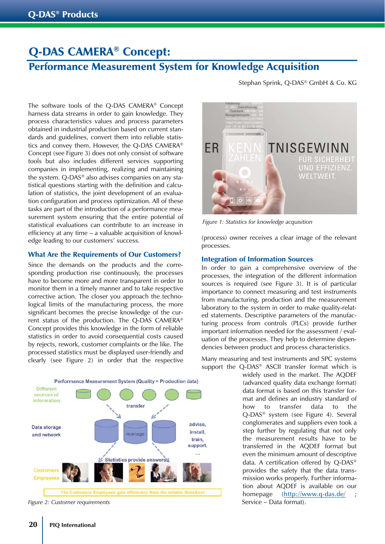# Q-DAS CAMERA® Concept:

# Performance Measurement System for Knowledge Acquisition

The software tools of the Q-DAS CAMERA® Concept harness data streams in order to gain knowledge. They process characteristics values and process parameters obtained in industrial production based on current standards and guidelines, convert them into reliable statistics and convey them. However, the Q-DAS CAMERA® Concept (see Figure 3) does not only consist of software tools but also includes different services supporting companies in implementing, realizing and maintaining the system. Q-DAS® also advises companies on any statistical questions starting with the definition and calculation of statistics, the joint development of an evaluation configuration and process optimization. All of these tasks are part of the introduction of a performance measurement system ensuring that the entire potential of statistical evaluations can contribute to an increase in efficiency at any time – a valuable acquisition of knowledge leading to our customers' success.

### What Are the Requirements of Our Customers?

Since the demands on the products and the corresponding production rise continuously, the processes have to become more and more transparent in order to monitor them in a timely manner and to take respective corrective action. The closer you approach the technological limits of the manufacturing process, the more significant becomes the precise knowledge of the current status of the production. The Q-DAS CAMERA® Concept provides this knowledge in the form of reliable statistics in order to avoid consequential costs caused by rejects, rework, customer complaints or the like. The processed statistics must be displayed user-friendly and clearly (see Figure 2) in order that the respective



*Figure 2: Customer requirements* Service – Data format).

Stephan Sprink, Q-DAS® GmbH & Co. KG



*Figure 1: Statistics for knowledge acquisition* 

(process) owner receives a clear image of the relevant processes.

#### Integration of Information Sources

In order to gain a comprehensive overview of the processes, the integration of the different information sources is required (see Figure 3). It is of particular importance to connect measuring and test instruments from manufacturing, production and the measurement laboratory to the system in order to make quality-related statements. Descriptive parameters of the manufacturing process from controls (PLCs) provide further important information needed for the assessment / evaluation of the processes. They help to determine dependencies between product and process characteristics.

Many measuring and test instruments and SPC systems support the Q-DAS® ASCII transfer format which is

widely used in the market. The AQDEF (advanced quality data exchange format) data format is based on this transfer format and defines an industry standard of how to transfer data to the Q-DAS® system (see Figure 4). Several conglomerates and suppliers even took a step further by regulating that not only the measurement results have to be transferred in the AQDEF format but even the minimum amount of descriptive data. A certification offered by Q-DAS® provides the safety that the data transmission works properly. Further information about AQDEF is available on our homepage (http://www.q-das.de/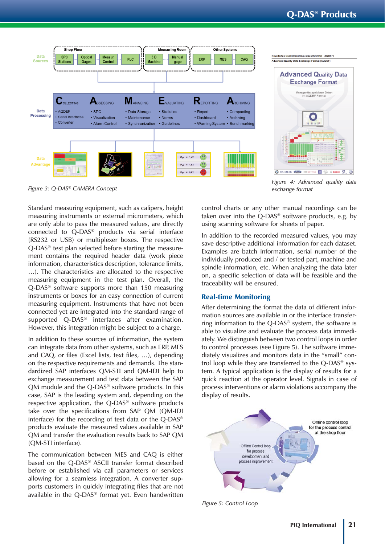



*Figure 4: Advanced quality data exchange format*

*Figure 3: Q-DAS® CAMERA Concept*

Standard measuring equipment, such as calipers, height measuring instruments or external micrometers, which are only able to pass the measured values, are directly connected to Q-DAS® products via serial interface (RS232 or USB) or multiplexer boxes. The respective Q-DAS® test plan selected before starting the measurement contains the required header data (work piece information, characteristics description, tolerance limits, …). The characteristics are allocated to the respective measuring equipment in the test plan. Overall, the Q-DAS® software supports more than 150 measuring instruments or boxes for an easy connection of current measuring equipment. Instruments that have not been connected yet are integrated into the standard range of supported Q-DAS® interfaces after examination. However, this integration might be subject to a charge.

In addition to these sources of information, the system can integrate data from other systems, such as ERP, MES and CAQ, or files (Excel lists, text files, …), depending on the respective requirements and demands. The standardized SAP interfaces QM-STI and QM-IDI help to exchange measurement and test data between the SAP QM module and the Q-DAS® software products. In this case, SAP is the leading system and, depending on the respective application, the Q-DAS® software products take over the specifications from SAP QM (QM-IDI interface) for the recording of test data or the Q-DAS® products evaluate the measured values available in SAP QM and transfer the evaluation results back to SAP QM (QM-STI interface).

The communication between MES and CAQ is either based on the Q-DAS® ASCII transfer format described before or established via call parameters or services allowing for a seamless integration. A converter supports customers in quickly integrating files that are not available in the Q-DAS® format yet. Even handwritten

control charts or any other manual recordings can be taken over into the Q-DAS® software products, e.g. by using scanning software for sheets of paper.

In addition to the recorded measured values, you may save descriptive additional information for each dataset. Examples are batch information, serial number of the individually produced and / or tested part, machine and spindle information, etc. When analyzing the data later on, a specific selection of data will be feasible and the traceability will be ensured.

### Real-time Monitoring

After determining the format the data of different information sources are available in or the interface transferring information to the Q-DAS® system, the software is able to visualize and evaluate the process data immediately. We distinguish between two control loops in order to control processes (see Figure 5). The software immediately visualizes and monitors data in the "small" control loop while they are transferred to the Q-DAS® system. A typical application is the display of results for a quick reaction at the operator level. Signals in case of process interventions or alarm violations accompany the display of results.



*Figure 5: Control Loop*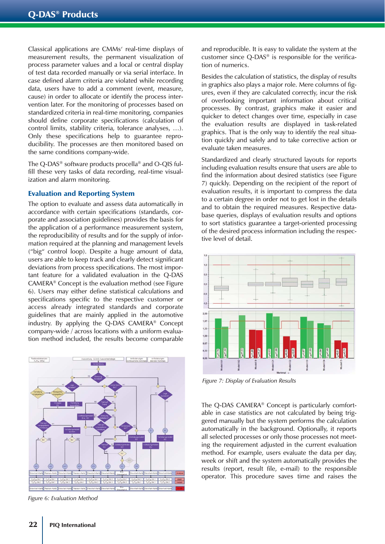Classical applications are CMMs' real-time displays of measurement results, the permanent visualization of process parameter values and a local or central display of test data recorded manually or via serial interface. In case defined alarm criteria are violated while recording data, users have to add a comment (event, measure, cause) in order to allocate or identify the process intervention later. For the monitoring of processes based on standardized criteria in real-time monitoring, companies should define corporate specifications (calculation of control limits, stability criteria, tolerance analyses, …). Only these specifications help to guarantee reproducibility. The processes are then monitored based on the same conditions company-wide.

The Q-DAS® software products procella® and O-QIS fulfill these very tasks of data recording, real-time visualization and alarm monitoring.

#### Evaluation and Reporting System

The option to evaluate and assess data automatically in accordance with certain specifications (standards, corporate and association guidelines) provides the basis for the application of a performance measurement system, the reproducibility of results and for the supply of information required at the planning and management levels ("big" control loop). Despite a huge amount of data, users are able to keep track and clearly detect significant deviations from process specifications. The most important feature for a validated evaluation in the Q-DAS CAMERA® Concept is the evaluation method (see Figure 6). Users may either define statistical calculations and specifications specific to the respective customer or access already integrated standards and corporate guidelines that are mainly applied in the automotive industry. By applying the Q-DAS CAMERA® Concept company-wide / across locations with a uniform evaluation method included, the results become comparable



*Figure 6: Evaluation Method* 

and reproducible. It is easy to validate the system at the customer since Q-DAS® is responsible for the verification of numerics.

Besides the calculation of statistics, the display of results in graphics also plays a major role. Mere columns of figures, even if they are calculated correctly, incur the risk of overlooking important information about critical processes. By contrast, graphics make it easier and quicker to detect changes over time, especially in case the evaluation results are displayed in task-related graphics. That is the only way to identify the real situation quickly and safely and to take corrective action or evaluate taken measures.

Standardized and clearly structured layouts for reports including evaluation results ensure that users are able to find the information about desired statistics (see Figure 7) quickly. Depending on the recipient of the report of evaluation results, it is important to compress the data to a certain degree in order not to get lost in the details and to obtain the required measures. Respective database queries, displays of evaluation results and options to sort statistics guarantee a target-oriented processing of the desired process information including the respective level of detail.



*Figure 7: Display of Evaluation Results*

The Q-DAS CAMERA® Concept is particularly comfortable in case statistics are not calculated by being triggered manually but the system performs the calculation automatically in the background. Optionally, it reports all selected processes or only those processes not meeting the requirement adjusted in the current evaluation method. For example, users evaluate the data per day, week or shift and the system automatically provides the results (report, result file, e-mail) to the responsible operator. This procedure saves time and raises the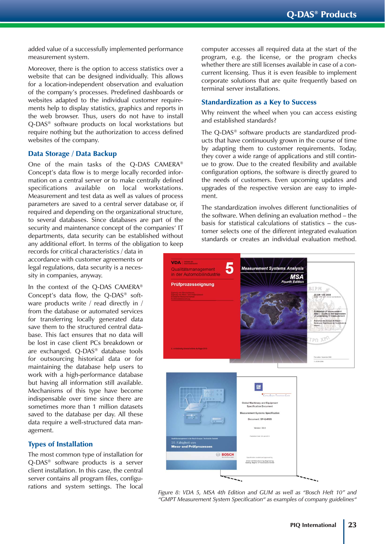added value of a successfully implemented performance measurement system.

Moreover, there is the option to access statistics over a website that can be designed individually. This allows for a location-independent observation and evaluation of the company's processes. Predefined dashboards or websites adapted to the individual customer requirements help to display statistics, graphics and reports in the web browser. Thus, users do not have to install Q-DAS® software products on local workstations but require nothing but the authorization to access defined websites of the company.

#### Data Storage / Data Backup

One of the main tasks of the Q-DAS CAMERA® Concept's data flow is to merge locally recorded information on a central server or to make centrally defined specifications available on local workstations. Measurement and test data as well as values of process parameters are saved to a central server database or, if required and depending on the organizational structure, to several databases. Since databases are part of the security and maintenance concept of the companies' IT departments, data security can be established without any additional effort. In terms of the obligation to keep

records for critical characteristics / data in accordance with customer agreements or legal regulations, data security is a necessity in companies, anyway.

In the context of the Q-DAS CAMERA® Concept's data flow, the Q-DAS® software products write / read directly in / from the database or automated services for transferring locally generated data save them to the structured central database. This fact ensures that no data will be lost in case client PCs breakdown or are exchanged. Q-DAS® database tools for outsourcing historical data or for maintaining the database help users to work with a high-performance database but having all information still available. Mechanisms of this type have become indispensable over time since there are sometimes more than 1 million datasets saved to the database per day. All these data require a well-structured data management.

#### Types of Installation

The most common type of installation for Q-DAS® software products is a server client installation. In this case, the central server contains all program files, configurations and system settings. The local computer accesses all required data at the start of the program, e.g. the license, or the program checks whether there are still licenses available in case of a concurrent licensing. Thus it is even feasible to implement corporate solutions that are quite frequently based on terminal server installations.

#### Standardization as a Key to Success

Why reinvent the wheel when you can access existing and established standards?

The Q-DAS® software products are standardized products that have continuously grown in the course of time by adapting them to customer requirements. Today, they cover a wide range of applications and still continue to grow. Due to the created flexibility and available configuration options, the software is directly geared to the needs of customers. Even upcoming updates and upgrades of the respective version are easy to implement.

The standardization involves different functionalities of the software. When defining an evaluation method – the basis for statistical calculations of statistics – the customer selects one of the different integrated evaluation standards or creates an individual evaluation method.



*Figure 8: VDA 5, MSA 4th Edition and GUM as well as "Bosch Heft 10" and "GMPT Measurement System Specification" as examples of company guidelines"*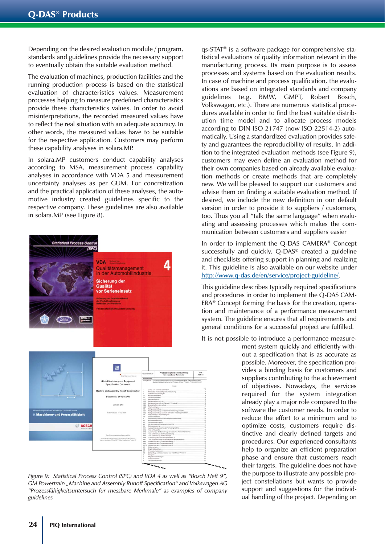Depending on the desired evaluation module / program, standards and guidelines provide the necessary support to eventually obtain the suitable evaluation method.

The evaluation of machines, production facilities and the running production process is based on the statistical evaluation of characteristics values. Measurement processes helping to measure predefined characteristics provide these characteristics values. In order to avoid misinterpretations, the recorded measured values have to reflect the real situation with an adequate accuracy. In other words, the measured values have to be suitable for the respective application. Customers may perform these capability analyses in solara.MP.

In solara.MP customers conduct capability analyses according to MSA, measurement process capability analyses in accordance with VDA 5 and measurement uncertainty analyses as per GUM. For concretization and the practical application of these analyses, the automotive industry created guidelines specific to the respective company. These guidelines are also available in solara.MP (see Figure 8).



*Figure 9: Statistical Process Control (SPC) and VDA 4 as well as "Bosch Heft 9", GM Powertrain "Machine and Assembly Runoff Specification" and Volkswagen AG "Prozessfähigkeitsuntersuch für messbare Merkmale" as examples of company guidelines* 

qs-STAT® is a software package for comprehensive statistical evaluations of quality information relevant in the manufacturing process. Its main purpose is to assess processes and systems based on the evaluation results. In case of machine and process qualification, the evaluations are based on integrated standards and company guidelines (e.g. BMW, GMPT, Robert Bosch, Volkswagen, etc.). There are numerous statistical procedures available in order to find the best suitable distribution time model and to allocate process models according to DIN ISO 21747 (now ISO 22514-2) automatically. Using a standardized evaluation provides safety and guarantees the reproducibility of results. In addition to the integrated evaluation methods (see Figure 9), customers may even define an evaluation method for their own companies based on already available evaluation methods or create methods that are completely new. We will be pleased to support our customers and advise them on finding a suitable evaluation method. If desired, we include the new definition in our default version in order to provide it to suppliers / customers, too. Thus you all "talk the same language" when evaluating and assessing processes which makes the communication between customers and suppliers easier

In order to implement the Q-DAS CAMERA® Concept successfully and quickly, Q-DAS® created a guideline and checklists offering support in planning and realizing it. This guideline is also available on our website under http://www.q-das.de/en/service/project-guideline/.

This guideline describes typically required specifications and procedures in order to implement the Q-DAS CAM-ERA® Concept forming the basis for the creation, operation and maintenance of a performance measurement system. The guideline ensures that all requirements and general conditions for a successful project are fulfilled.

It is not possible to introduce a performance measure-

ment system quickly and efficiently without a specification that is as accurate as possible. Moreover, the specification provides a binding basis for customers and suppliers contributing to the achievement of objectives. Nowadays, the services required for the system integration already play a major role compared to the software the customer needs. In order to reduce the effort to a minimum and to optimize costs, customers require distinctive and clearly defined targets and procedures. Our experienced consultants help to organize an efficient preparation phase and ensure that customers reach their targets. The guideline does not have the purpose to illustrate any possible project constellations but wants to provide support and suggestions for the individual handling of the project. Depending on